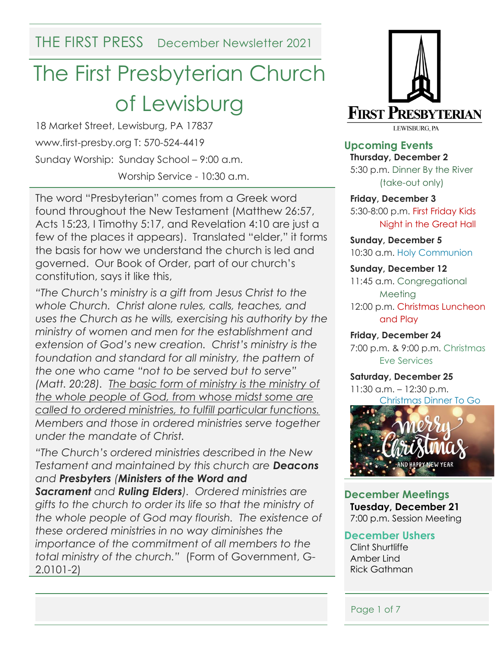THE FIRST PRESS December Newsletter 2021

# The First Presbyterian Church of Lewisburg

18 Market Street, Lewisburg, PA 17837 www.first-presby.org T: 570-524-4419 Sunday Worship: Sunday School – 9:00 a.m. Worship Service - 10:30 a.m.

The word "Presbyterian" comes from a Greek word found throughout the New Testament (Matthew 26:57, Acts 15:23, I Timothy 5:17, and Revelation 4:10 are just a few of the places it appears). Translated "elder," it forms the basis for how we understand the church is led and governed. Our Book of Order, part of our church's constitution, says it like this,

*"The Church's ministry is a gift from Jesus Christ to the whole Church. Christ alone rules, calls, teaches, and uses the Church as he wills, exercising his authority by the ministry of women and men for the establishment and extension of God's new creation. Christ's ministry is the*  foundation and standard for all ministry, the pattern of *the one who came "not to be served but to serve" (Matt. 20:28). The basic form of ministry is the ministry of the whole people of God, from whose midst some are called to ordered ministries, to fulfill particular functions. Members and those in ordered ministries serve together under the mandate of Christ.*

*"The Church's ordered ministries described in the New Testament and maintained by this church are Deacons and Presbyters (Ministers of the Word and Sacrament and Ruling Elders). Ordered ministries are gifts to the church to order its life so that the ministry of the whole people of God may flourish. The existence of these ordered ministries in no way diminishes the importance of the commitment of all members to the total ministry of the church."* (Form of Government, G-2.0101-2)



**Upcoming Events Thursday, December 2** 5:30 p.m. Dinner By the River (take-out only)

**Friday, December 3** 5:30-8:00 p.m. First Friday Kids Night in the Great Hall

**Sunday, December 5** 10:30 a.m. Holy Communion

**Sunday, December 12** 11:45 a.m. Congregational Meeting 12:00 p.m. Christmas Luncheon and Play

**Friday, December 24** 7:00 p.m. & 9:00 p.m. Christmas Eve Services

**Saturday, December 25** 11:30 a.m. – 12:30 p.m. Christmas Dinner To Go



**December Meetings Tuesday, December 21** 7:00 p.m. Session Meeting

#### **December Ushers**

Clint Shurtliffe Amber Lind Rick Gathman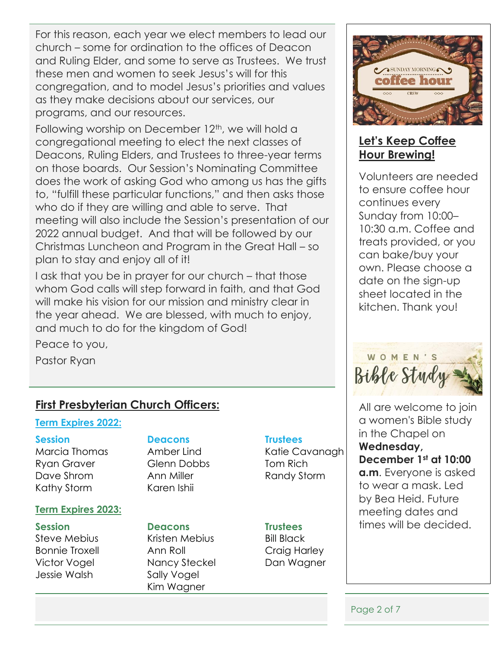For this reason, each year we elect members to lead our church – some for ordination to the offices of Deacon and Ruling Elder, and some to serve as Trustees. We trust these men and women to seek Jesus's will for this congregation, and to model Jesus's priorities and values as they make decisions about our services, our programs, and our resources.

Following worship on December 12<sup>th</sup>, we will hold a congregational meeting to elect the next classes of Deacons, Ruling Elders, and Trustees to three-year terms on those boards. Our Session's Nominating Committee does the work of asking God who among us has the gifts to, "fulfill these particular functions," and then asks those who do if they are willing and able to serve. That meeting will also include the Session's presentation of our 2022 annual budget. And that will be followed by our Christmas Luncheon and Program in the Great Hall – so plan to stay and enjoy all of it!

I ask that you be in prayer for our church – that those whom God calls will step forward in faith, and that God will make his vision for our mission and ministry clear in the year ahead. We are blessed, with much to enjoy, and much to do for the kingdom of God!

Peace to you,

Pastor Ryan

# **First Presbyterian Church Officers:**

#### **Term Expires 2022:**

Ryan Graver **Glenn Dobbs** Tom Rich Dave Shrom Ann Miller Randy Storm Kathy Storm Karen Ishii

#### **Term Expires 2023:**

Jessie Walsh Sally Vogel

#### **Session Deacons Trustees**

#### **Session Deacons Trustees**

Steve Mebius **Kristen Mebius** Bill Black Bonnie Troxell **Ann Roll Craig Harley** Victor Vogel Mancy Steckel Dan Wagner Kim Wagner

Marcia Thomas Amber Lind Katie Cavanagh



# **Let's Keep Coffee Hour Brewing!**

Volunteers are needed to ensure coffee hour continues every Sunday from 10:00– 10:30 a.m. Coffee and treats provided, or you can bake/buy your own. Please choose a date on the sign-up sheet located in the kitchen. Thank you!



All are welcome to join a women's Bible study in the Chapel on **Wednesday, December 1st at 10:00 a.m**. Everyone is asked to wear a mask. Led by Bea Heid. Future meeting dates and times will be decided.

Page 2 of 7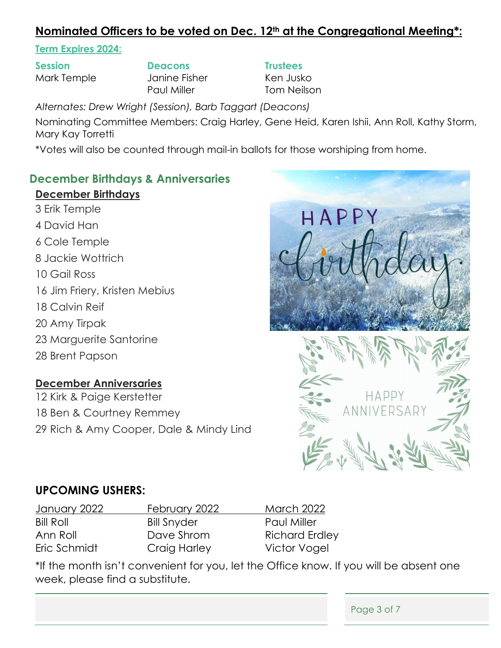# **Nominated Officers to be voted on Dec. 12th at the Congregational Meeting\*:**

#### **Term Expires 2024:**

**Session Deacons Trustees** Mark Temple **State State Janine Fisher** Ken Jusko

Paul Miller **Tom Neilson** 

*Alternates: Drew Wright (Session), Barb Taggart (Deacons)*

Nominating Committee Members: Craig Harley, Gene Heid, Karen Ishii, Ann Roll, Kathy Storm, Mary Kay Torretti

\*Votes will also be counted through mail-in ballots for those worshiping from home.

### **December Birthdays & Anniversaries**

#### **December Birthdays**

- 3 Erik Temple
- 4 David Han
- 6 Cole Temple
- 8 Jackie Wottrich
- 10 Gail Ross
- 16 Jim Friery, Kristen Mebius
- 18 Calvin Reif
- 20 Amy Tirpak
- 23 Marguerite Santorine
- 28 Brent Papson

### **December Anniversaries**

12 Kirk & Paige Kerstetter 18 Ben & Courtney Remmey 29 Rich & Amy Cooper, Dale & Mindy Lind



## **UPCOMING USHERS:**

January 2022 February 2022 March 2022 Bill Roll Bill Snyder Paul Miller Ann Roll **Dave Shrom** Richard Erdley Eric Schmidt Craig Harley Victor Vogel

\*If the month isn't convenient for you, let the Office know. If you will be absent one week, please find a substitute.

Page 3 of 7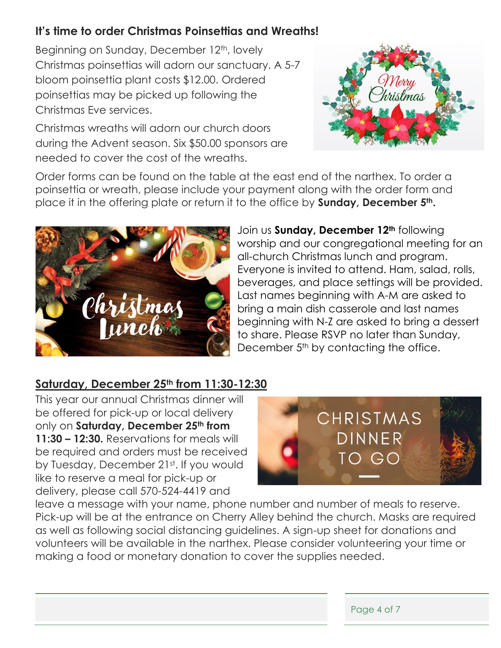# **It's time to order Christmas Poinsettias and Wreaths!**

Beginning on Sunday, December 12<sup>th</sup>, lovely Christmas poinsettias will adorn our sanctuary. A 5-7 bloom poinsettia plant costs \$12.00. Ordered poinsettias may be picked up following the Christmas Eve services.

Christmas wreaths will adorn our church doors during the Advent season. Six \$50.00 sponsors are needed to cover the cost of the wreaths.



Order forms can be found on the table at the east end of the narthex. To order a poinsettia or wreath, please include your payment along with the order form and place it in the offering plate or return it to the office by **Sunday, December 5th.** 



Join us **Sunday, December 12th** following worship and our congregational meeting for an all-church Christmas lunch and program. Everyone is invited to attend. Ham, salad, rolls, beverages, and place settings will be provided. Last names beginning with A-M are asked to bring a main dish casserole and last names beginning with N-Z are asked to bring a dessert to share. Please RSVP no later than Sunday, December 5<sup>th</sup> by contacting the office.

## **Saturday, December 25th from 11:30-12:30**

This year our annual Christmas dinner will be offered for pick-up or local delivery only on **Saturday, December 25th from 11:30 – 12:30.** Reservations for meals will be required and orders must be received by Tuesday, December 21<sup>st</sup>. If you would like to reserve a meal for pick-up or delivery, please call 570-524-4419 and



leave a message with your name, phone number and number of meals to reserve. Pick-up will be at the entrance on Cherry Alley behind the church. Masks are required as well as following social distancing guidelines. A sign-up sheet for donations and volunteers will be available in the narthex. Please consider volunteering your time or making a food or monetary donation to cover the supplies needed.

| Page 4 of 7 |  |
|-------------|--|
|-------------|--|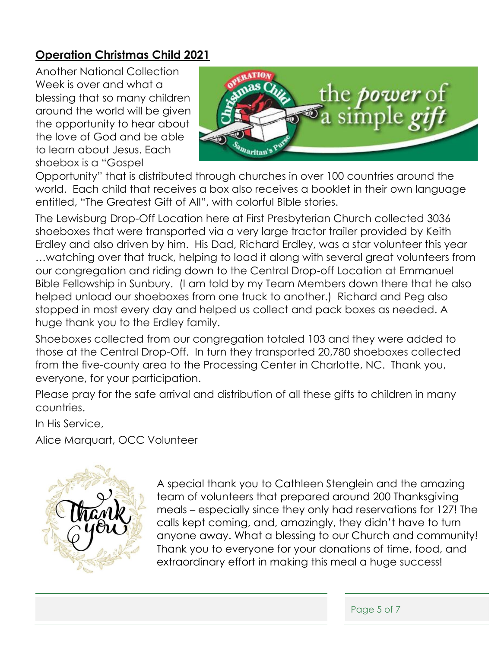# **Operation Christmas Child 2021**

Another National Collection Week is over and what a blessing that so many children around the world will be given the opportunity to hear about the love of God and be able to learn about Jesus. Each shoebox is a "Gospel



Opportunity" that is distributed through churches in over 100 countries around the world. Each child that receives a box also receives a booklet in their own language entitled, "The Greatest Gift of All", with colorful Bible stories.

The Lewisburg Drop-Off Location here at First Presbyterian Church collected 3036 shoeboxes that were transported via a very large tractor trailer provided by Keith Erdley and also driven by him. His Dad, Richard Erdley, was a star volunteer this year …watching over that truck, helping to load it along with several great volunteers from our congregation and riding down to the Central Drop-off Location at Emmanuel Bible Fellowship in Sunbury. (I am told by my Team Members down there that he also helped unload our shoeboxes from one truck to another.) Richard and Peg also stopped in most every day and helped us collect and pack boxes as needed. A huge thank you to the Erdley family.

Shoeboxes collected from our congregation totaled 103 and they were added to those at the Central Drop-Off. In turn they transported 20,780 shoeboxes collected from the five-county area to the Processing Center in Charlotte, NC. Thank you, everyone, for your participation.

Please pray for the safe arrival and distribution of all these gifts to children in many countries.

In His Service,

Alice Marquart, OCC Volunteer



A special thank you to Cathleen Stenglein and the amazing team of volunteers that prepared around 200 Thanksgiving meals – especially since they only had reservations for 127! The calls kept coming, and, amazingly, they didn't have to turn anyone away. What a blessing to our Church and community! Thank you to everyone for your donations of time, food, and extraordinary effort in making this meal a huge success!

Page 5 of 7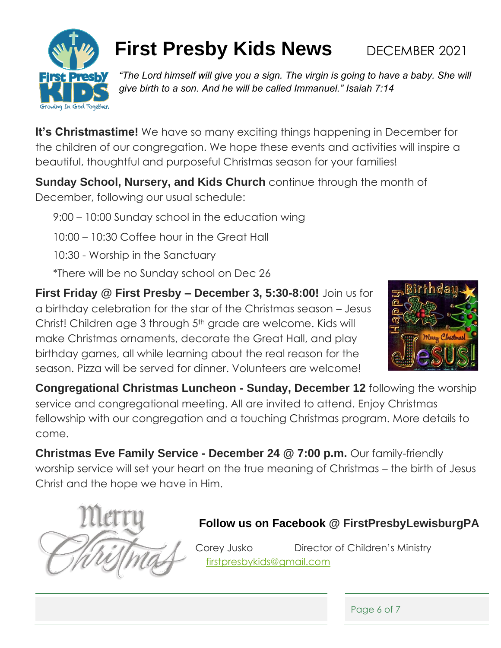

# **First Presby Kids News** DECEMBER 2021

*"The Lord himself will give you a sign. The virgin is going to have a baby. She will give birth to a son. And he will be called Immanuel." Isaiah 7:14* 

**It's Christmastime!** We have so many exciting things happening in December for the children of our congregation. We hope these events and activities will inspire a beautiful, thoughtful and purposeful Christmas season for your families!

**Sunday School, Nursery, and Kids Church** continue through the month of December, following our usual schedule:

9:00 – 10:00 Sunday school in the education wing

10:00 – 10:30 Coffee hour in the Great Hall

10:30 - Worship in the Sanctuary

\*There will be no Sunday school on Dec 26

**First Friday @ First Presby – December 3, 5:30-8:00!** Join us for a birthday celebration for the star of the Christmas season – Jesus Christ! Children age 3 through 5<sup>th</sup> grade are welcome. Kids will make Christmas ornaments, decorate the Great Hall, and play birthday games, all while learning about the real reason for the season. Pizza will be served for dinner. Volunteers are welcome!



**Congregational Christmas Luncheon - Sunday, December 12** following the worship service and congregational meeting. All are invited to attend. Enjoy Christmas fellowship with our congregation and a touching Christmas program. More details to come.

**Christmas Eve Family Service - December 24 @ 7:00 p.m.** Our family-friendly worship service will set your heart on the true meaning of Christmas – the birth of Jesus Christ and the hope we have in Him.



# **Follow us on Facebook @ FirstPresbyLewisburgPA**

Corey Jusko Director of Children's Ministry [firstpresbykids@gmail.com](mailto:firstpresbykids@gmail.com)

Page 6 of 7